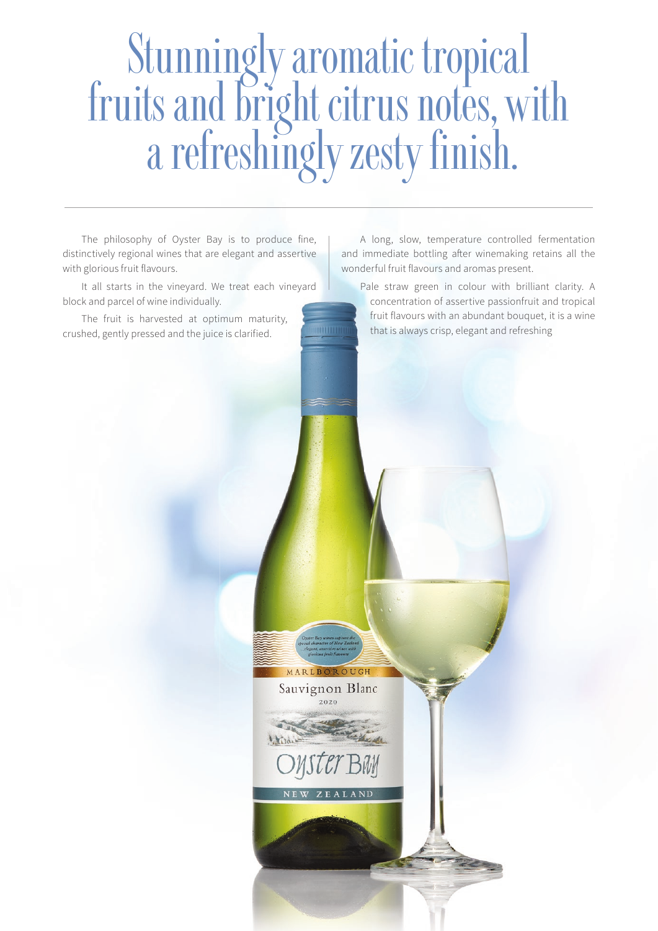# Stunningly aromatic tropical fruits and bright citrus notes, with a refreshingly zesty finish.

MARLBOROUGH Sauvignon Blanc  $2020$ 

The philosophy of Oyster Bay is to produce fine, distinctively regional wines that are elegant and assertive with glorious fruit flavours.

It all starts in the vineyard. We treat each vineyard block and parcel of wine individually.

The fruit is harvested at optimum maturity, crushed, gently pressed and the juice is clarified.

A long, slow, temperature controlled fermentation and immediate bottling after winemaking retains all the wonderful fruit flavours and aromas present.

Pale straw green in colour with brilliant clarity. A concentration of assertive passionfruit and tropical fruit flavours with an abundant bouquet, it is a wine that is always crisp, elegant and refreshing